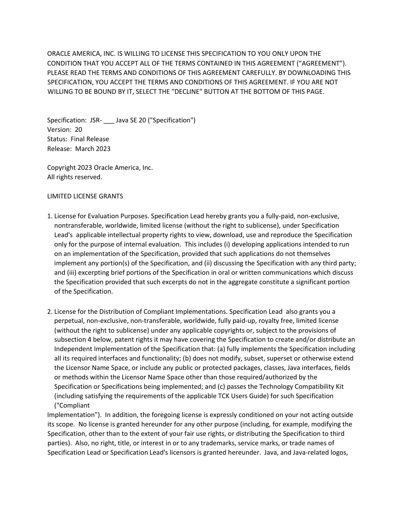ORACLE AMERICA, INC. IS WILLING TO LICENSE THIS SPECIFICATION TO YOU ONLY UPON THE CONDITION THAT YOU ACCEPT ALL OF THE TERMS CONTAINED IN THIS AGREEMENT ("AGREEMENT"). PLEASE READ THE TERMS AND CONDITIONS OF THIS AGREEMENT CAREFULLY. BY DOWNLOADING THIS SPECIFICATION, YOU ACCEPT THE TERMS AND CONDITIONS OF THIS AGREEMENT. IF YOU ARE NOT WILLING TO BE BOUND BY IT, SELECT THE "DECLINE" BUTTON AT THE BOTTOM OF THIS PAGE.

Specification: JSR- Java SE 20 ("Specification") Version: 20 Status: Final Release Release: March 2023

Copyright 2023 Oracle America, Inc. All rights reserved.

#### LIMITED LICENSE GRANTS

- 1. License for Evaluation Purposes. Specification Lead hereby grants you a fully-paid, non-exclusive, nontransferable, worldwide, limited license (without the right to sublicense), under Specification Lead's applicable intellectual property rights to view, download, use and reproduce the Specification only for the purpose of internal evaluation. This includes (i) developing applications intended to run on an implementation of the Specification, provided that such applications do not themselves implement any portion(s) of the Specification, and (ii) discussing the Specification with any third party; and (iii) excerpting brief portions of the Specification in oral or written communications which discuss the Specification provided that such excerpts do not in the aggregate constitute a significant portion of the Specification.
- 2. License for the Distribution of Compliant Implementations. Specification Lead also grants you a perpetual, non-exclusive, non-transferable, worldwide, fully paid-up, royalty free, limited license (without the right to sublicense) under any applicable copyrights or, subject to the provisions of subsection 4 below, patent rights it may have covering the Specification to create and/or distribute an Independent Implementation of the Specification that: (a) fully implements the Specification including all its required interfaces and functionality; (b) does not modify, subset, superset or otherwise extend the Licensor Name Space, or include any public or protected packages, classes, Java interfaces, fields or methods within the Licensor Name Space other than those required/authorized by the Specification or Specifications being implemented; and (c) passes the Technology Compatibility Kit (including satisfying the requirements of the applicable TCK Users Guide) for such Specification ("Compliant

Implementation"). In addition, the foregoing license is expressly conditioned on your not acting outside its scope. No license is granted hereunder for any other purpose (including, for example, modifying the Specification, other than to the extent of your fair use rights, or distributing the Specification to third parties). Also, no right, title, or interest in or to any trademarks, service marks, or trade names of Specification Lead or Specification Lead's licensors is granted hereunder. Java, and Java-related logos,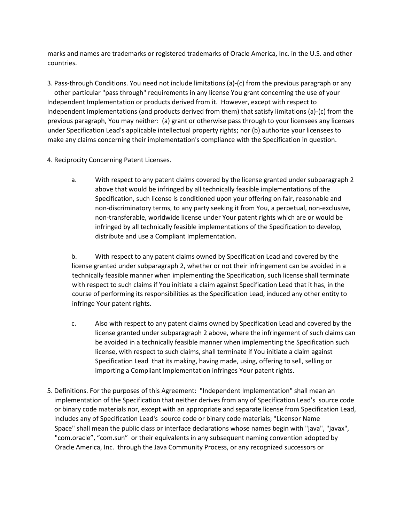marks and names are trademarks or registered trademarks of Oracle America, Inc. in the U.S. and other countries.

3. Pass-through Conditions. You need not include limitations (a)-(c) from the previous paragraph or any other particular "pass through" requirements in any license You grant concerning the use of your Independent Implementation or products derived from it. However, except with respect to Independent Implementations (and products derived from them) that satisfy limitations (a)-(c) from the previous paragraph, You may neither: (a) grant or otherwise pass through to your licensees any licenses under Specification Lead's applicable intellectual property rights; nor (b) authorize your licensees to make any claims concerning their implementation's compliance with the Specification in question.

4. Reciprocity Concerning Patent Licenses.

a. With respect to any patent claims covered by the license granted under subparagraph 2 above that would be infringed by all technically feasible implementations of the Specification, such license is conditioned upon your offering on fair, reasonable and non-discriminatory terms, to any party seeking it from You, a perpetual, non-exclusive, non-transferable, worldwide license under Your patent rights which are or would be infringed by all technically feasible implementations of the Specification to develop, distribute and use a Compliant Implementation.

b. With respect to any patent claims owned by Specification Lead and covered by the license granted under subparagraph 2, whether or not their infringement can be avoided in a technically feasible manner when implementing the Specification, such license shall terminate with respect to such claims if You initiate a claim against Specification Lead that it has, in the course of performing its responsibilities as the Specification Lead, induced any other entity to infringe Your patent rights.

- c. Also with respect to any patent claims owned by Specification Lead and covered by the license granted under subparagraph 2 above, where the infringement of such claims can be avoided in a technically feasible manner when implementing the Specification such license, with respect to such claims, shall terminate if You initiate a claim against Specification Lead that its making, having made, using, offering to sell, selling or importing a Compliant Implementation infringes Your patent rights.
- 5. Definitions. For the purposes of this Agreement: "Independent Implementation" shall mean an implementation of the Specification that neither derives from any of Specification Lead's source code or binary code materials nor, except with an appropriate and separate license from Specification Lead, includes any of Specification Lead's source code or binary code materials; "Licensor Name Space" shall mean the public class or interface declarations whose names begin with "java", "javax", "com.oracle", "com.sun" or their equivalents in any subsequent naming convention adopted by Oracle America, Inc. through the Java Community Process, or any recognized successors or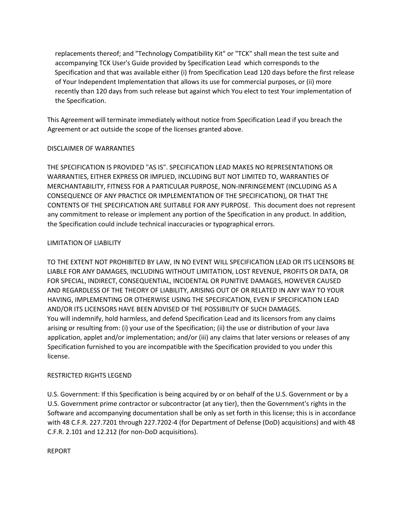replacements thereof; and "Technology Compatibility Kit" or "TCK" shall mean the test suite and accompanying TCK User's Guide provided by Specification Lead which corresponds to the Specification and that was available either (i) from Specification Lead 120 days before the first release of Your Independent Implementation that allows its use for commercial purposes, or (ii) more recently than 120 days from such release but against which You elect to test Your implementation of the Specification.

This Agreement will terminate immediately without notice from Specification Lead if you breach the Agreement or act outside the scope of the licenses granted above.

# DISCLAIMER OF WARRANTIES

THE SPECIFICATION IS PROVIDED "AS IS". SPECIFICATION LEAD MAKES NO REPRESENTATIONS OR WARRANTIES, EITHER EXPRESS OR IMPLIED, INCLUDING BUT NOT LIMITED TO, WARRANTIES OF MERCHANTABILITY, FITNESS FOR A PARTICULAR PURPOSE, NON-INFRINGEMENT (INCLUDING AS A CONSEQUENCE OF ANY PRACTICE OR IMPLEMENTATION OF THE SPECIFICATION), OR THAT THE CONTENTS OF THE SPECIFICATION ARE SUITABLE FOR ANY PURPOSE. This document does not represent any commitment to release or implement any portion of the Specification in any product. In addition, the Specification could include technical inaccuracies or typographical errors.

# LIMITATION OF LIABILITY

TO THE EXTENT NOT PROHIBITED BY LAW, IN NO EVENT WILL SPECIFICATION LEAD OR ITS LICENSORS BE LIABLE FOR ANY DAMAGES, INCLUDING WITHOUT LIMITATION, LOST REVENUE, PROFITS OR DATA, OR FOR SPECIAL, INDIRECT, CONSEQUENTIAL, INCIDENTAL OR PUNITIVE DAMAGES, HOWEVER CAUSED AND REGARDLESS OF THE THEORY OF LIABILITY, ARISING OUT OF OR RELATED IN ANY WAY TO YOUR HAVING, IMPLEMENTING OR OTHERWISE USING THE SPECIFICATION, EVEN IF SPECIFICATION LEAD AND/OR ITS LICENSORS HAVE BEEN ADVISED OF THE POSSIBILITY OF SUCH DAMAGES. You will indemnify, hold harmless, and defend Specification Lead and its licensors from any claims arising or resulting from: (i) your use of the Specification; (ii) the use or distribution of your Java application, applet and/or implementation; and/or (iii) any claims that later versions or releases of any Specification furnished to you are incompatible with the Specification provided to you under this license.

### RESTRICTED RIGHTS LEGEND

U.S. Government: If this Specification is being acquired by or on behalf of the U.S. Government or by a U.S. Government prime contractor or subcontractor (at any tier), then the Government's rights in the Software and accompanying documentation shall be only as set forth in this license; this is in accordance with 48 C.F.R. 227.7201 through 227.7202-4 (for Department of Defense (DoD) acquisitions) and with 48 C.F.R. 2.101 and 12.212 (for non-DoD acquisitions).

REPORT